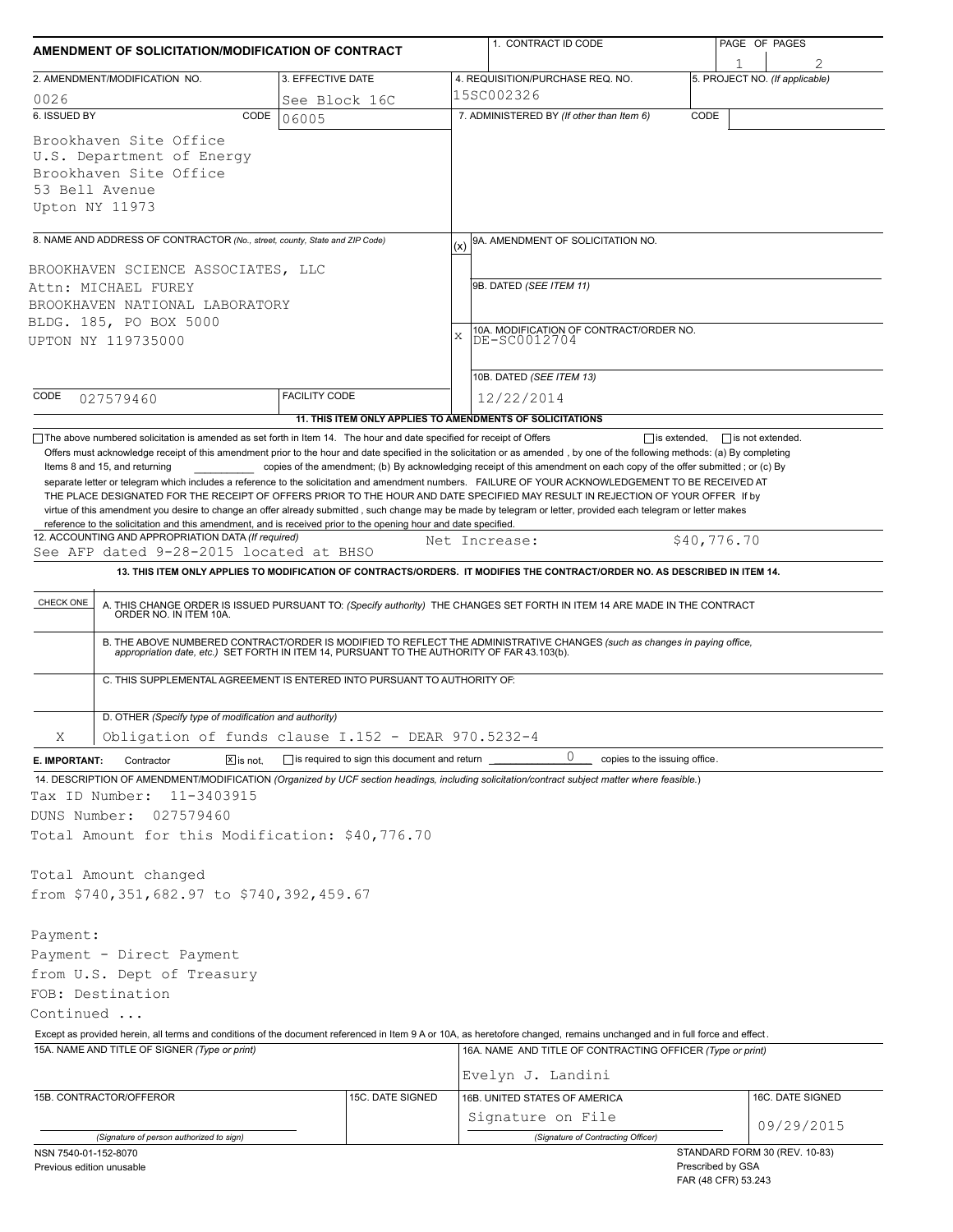| AMENDMENT OF SOLICITATION/MODIFICATION OF CONTRACT                                                                                                                                                                                                                                                                                                                                                                                                                                                                                                                                                                                                                                                              |                        |                                                     | 1. CONTRACT ID CODE                                                                                                                                                                                                      |                   | PAGE OF PAGES                 |  |  |
|-----------------------------------------------------------------------------------------------------------------------------------------------------------------------------------------------------------------------------------------------------------------------------------------------------------------------------------------------------------------------------------------------------------------------------------------------------------------------------------------------------------------------------------------------------------------------------------------------------------------------------------------------------------------------------------------------------------------|------------------------|-----------------------------------------------------|--------------------------------------------------------------------------------------------------------------------------------------------------------------------------------------------------------------------------|-------------------|-------------------------------|--|--|
|                                                                                                                                                                                                                                                                                                                                                                                                                                                                                                                                                                                                                                                                                                                 |                        |                                                     |                                                                                                                                                                                                                          |                   |                               |  |  |
| 3. EFFECTIVE DATE<br>2. AMENDMENT/MODIFICATION NO.                                                                                                                                                                                                                                                                                                                                                                                                                                                                                                                                                                                                                                                              |                        |                                                     | 4. REQUISITION/PURCHASE REQ. NO.<br>5. PROJECT NO. (If applicable)<br>15SC002326                                                                                                                                         |                   |                               |  |  |
| 0026<br>6. ISSUED BY<br>CODE                                                                                                                                                                                                                                                                                                                                                                                                                                                                                                                                                                                                                                                                                    | See Block 16C<br>06005 |                                                     | 7. ADMINISTERED BY (If other than Item 6)                                                                                                                                                                                | CODE              |                               |  |  |
| Brookhaven Site Office<br>U.S. Department of Energy<br>Brookhaven Site Office<br>53 Bell Avenue<br>Upton NY 11973                                                                                                                                                                                                                                                                                                                                                                                                                                                                                                                                                                                               |                        |                                                     |                                                                                                                                                                                                                          |                   |                               |  |  |
| 8. NAME AND ADDRESS OF CONTRACTOR (No., street, county, State and ZIP Code)                                                                                                                                                                                                                                                                                                                                                                                                                                                                                                                                                                                                                                     |                        |                                                     | 9A. AMENDMENT OF SOLICITATION NO.<br>(x)                                                                                                                                                                                 |                   |                               |  |  |
| BROOKHAVEN SCIENCE ASSOCIATES, LLC                                                                                                                                                                                                                                                                                                                                                                                                                                                                                                                                                                                                                                                                              |                        |                                                     |                                                                                                                                                                                                                          |                   |                               |  |  |
| Attn: MICHAEL FUREY<br>BROOKHAVEN NATIONAL LABORATORY<br>BLDG. 185, PO BOX 5000<br>UPTON NY 119735000                                                                                                                                                                                                                                                                                                                                                                                                                                                                                                                                                                                                           |                        |                                                     | 9B. DATED (SEE ITEM 11)<br>10A. MODIFICATION OF CONTRACT/ORDER NO.<br>X<br>DE-SC0012704                                                                                                                                  |                   |                               |  |  |
|                                                                                                                                                                                                                                                                                                                                                                                                                                                                                                                                                                                                                                                                                                                 |                        |                                                     | 10B. DATED (SEE ITEM 13)                                                                                                                                                                                                 |                   |                               |  |  |
| CODE<br>027579460                                                                                                                                                                                                                                                                                                                                                                                                                                                                                                                                                                                                                                                                                               | <b>FACILITY CODE</b>   |                                                     | 12/22/2014<br>11. THIS ITEM ONLY APPLIES TO AMENDMENTS OF SOLICITATIONS                                                                                                                                                  |                   |                               |  |  |
| Items 8 and 15, and returning<br>separate letter or telegram which includes a reference to the solicitation and amendment numbers. FAILURE OF YOUR ACKNOWLEDGEMENT TO BE RECEIVED AT<br>THE PLACE DESIGNATED FOR THE RECEIPT OF OFFERS PRIOR TO THE HOUR AND DATE SPECIFIED MAY RESULT IN REJECTION OF YOUR OFFER If by<br>virtue of this amendment you desire to change an offer already submitted, such change may be made by telegram or letter, provided each telegram or letter makes<br>reference to the solicitation and this amendment, and is received prior to the opening hour and date specified.<br>12. ACCOUNTING AND APPROPRIATION DATA (If required)<br>See AFP dated 9-28-2015 located at BHSO |                        |                                                     | copies of the amendment; (b) By acknowledging receipt of this amendment on each copy of the offer submitted; or (c) By<br>Net Increase:                                                                                  | \$40,776.70       |                               |  |  |
|                                                                                                                                                                                                                                                                                                                                                                                                                                                                                                                                                                                                                                                                                                                 |                        |                                                     | 13. THIS ITEM ONLY APPLIES TO MODIFICATION OF CONTRACTS/ORDERS. IT MODIFIES THE CONTRACT/ORDER NO. AS DESCRIBED IN ITEM 14.                                                                                              |                   |                               |  |  |
|                                                                                                                                                                                                                                                                                                                                                                                                                                                                                                                                                                                                                                                                                                                 |                        |                                                     |                                                                                                                                                                                                                          |                   |                               |  |  |
| CHECK ONE                                                                                                                                                                                                                                                                                                                                                                                                                                                                                                                                                                                                                                                                                                       |                        |                                                     | A. THIS CHANGE ORDER IS ISSUED PURSUANT TO: (Specify authority) THE CHANGES SET FORTH IN ITEM 14 ARE MADE IN THE CONTRACT ORDER NO. IN ITEM 10A.                                                                         |                   |                               |  |  |
| C. THIS SUPPLEMENTAL AGREEMENT IS ENTERED INTO PURSUANT TO AUTHORITY OF:                                                                                                                                                                                                                                                                                                                                                                                                                                                                                                                                                                                                                                        |                        |                                                     | B. THE ABOVE NUMBERED CONTRACT/ORDER IS MODIFIED TO REFLECT THE ADMINISTRATIVE CHANGES (such as changes in paying office,<br>appropriation date, etc.) SET FORTH IN ITEM 14, PURSUANT TO THE AUTHORITY OF FAR 43.103(b). |                   |                               |  |  |
|                                                                                                                                                                                                                                                                                                                                                                                                                                                                                                                                                                                                                                                                                                                 |                        |                                                     |                                                                                                                                                                                                                          |                   |                               |  |  |
| D. OTHER (Specify type of modification and authority)                                                                                                                                                                                                                                                                                                                                                                                                                                                                                                                                                                                                                                                           |                        |                                                     |                                                                                                                                                                                                                          |                   |                               |  |  |
| Obligation of funds clause I.152 - DEAR 970.5232-4<br>Χ                                                                                                                                                                                                                                                                                                                                                                                                                                                                                                                                                                                                                                                         |                        |                                                     |                                                                                                                                                                                                                          |                   |                               |  |  |
| $\boxed{\mathsf{x}}$ is not.<br>E. IMPORTANT:<br>Contractor<br>14. DESCRIPTION OF AMENDMENT/MODIFICATION (Organized by UCF section headings, including solicitation/contract subject matter where feasible.)<br>Tax ID Number:<br>11-3403915<br>DUNS Number:<br>027579460<br>Total Amount for this Modification: \$40,776.70                                                                                                                                                                                                                                                                                                                                                                                    |                        | $\Box$ is required to sign this document and return | 0<br>copies to the issuing office.                                                                                                                                                                                       |                   |                               |  |  |
| Total Amount changed<br>from \$740,351,682.97 to \$740,392,459.67                                                                                                                                                                                                                                                                                                                                                                                                                                                                                                                                                                                                                                               |                        |                                                     |                                                                                                                                                                                                                          |                   |                               |  |  |
| Payment:                                                                                                                                                                                                                                                                                                                                                                                                                                                                                                                                                                                                                                                                                                        |                        |                                                     |                                                                                                                                                                                                                          |                   |                               |  |  |
| Payment - Direct Payment                                                                                                                                                                                                                                                                                                                                                                                                                                                                                                                                                                                                                                                                                        |                        |                                                     |                                                                                                                                                                                                                          |                   |                               |  |  |
| from U.S. Dept of Treasury                                                                                                                                                                                                                                                                                                                                                                                                                                                                                                                                                                                                                                                                                      |                        |                                                     |                                                                                                                                                                                                                          |                   |                               |  |  |
| FOB: Destination                                                                                                                                                                                                                                                                                                                                                                                                                                                                                                                                                                                                                                                                                                |                        |                                                     |                                                                                                                                                                                                                          |                   |                               |  |  |
| Continued                                                                                                                                                                                                                                                                                                                                                                                                                                                                                                                                                                                                                                                                                                       |                        |                                                     |                                                                                                                                                                                                                          |                   |                               |  |  |
| Except as provided herein, all terms and conditions of the document referenced in Item 9 A or 10A, as heretofore changed, remains unchanged and in full force and effect.                                                                                                                                                                                                                                                                                                                                                                                                                                                                                                                                       |                        |                                                     |                                                                                                                                                                                                                          |                   |                               |  |  |
| 15A. NAME AND TITLE OF SIGNER (Type or print)                                                                                                                                                                                                                                                                                                                                                                                                                                                                                                                                                                                                                                                                   |                        |                                                     | 16A. NAME AND TITLE OF CONTRACTING OFFICER (Type or print)<br>Evelyn J. Landini                                                                                                                                          |                   |                               |  |  |
| 15B. CONTRACTOR/OFFEROR<br>15C. DATE SIGNED                                                                                                                                                                                                                                                                                                                                                                                                                                                                                                                                                                                                                                                                     |                        |                                                     | 16B. UNITED STATES OF AMERICA                                                                                                                                                                                            |                   | 16C. DATE SIGNED              |  |  |
|                                                                                                                                                                                                                                                                                                                                                                                                                                                                                                                                                                                                                                                                                                                 |                        |                                                     | Signature on File                                                                                                                                                                                                        |                   |                               |  |  |
| (Signature of person authorized to sign)                                                                                                                                                                                                                                                                                                                                                                                                                                                                                                                                                                                                                                                                        |                        |                                                     | (Signature of Contracting Officer)                                                                                                                                                                                       |                   | 09/29/2015                    |  |  |
| NSN 7540-01-152-8070<br>Previous edition unusable                                                                                                                                                                                                                                                                                                                                                                                                                                                                                                                                                                                                                                                               |                        |                                                     |                                                                                                                                                                                                                          | Prescribed by GSA | STANDARD FORM 30 (REV. 10-83) |  |  |

FAR (48 CFR) 53.243